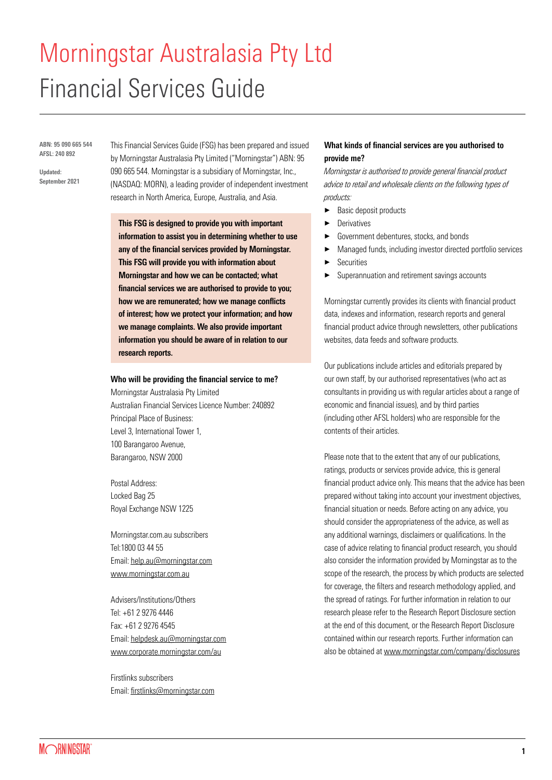# Morningstar Australasia Pty Ltd Financial Services Guide

ABN: 95 090 665 544 AFSL: 240 892

Updated: September 2021 This Financial Services Guide (FSG) has been prepared and issued by Morningstar Australasia Pty Limited ("Morningstar") ABN: 95 090 665 544. Morningstar is a subsidiary of Morningstar, Inc., (NASDAQ: MORN), a leading provider of independent investment research in North America, Europe, Australia, and Asia.

This FSG is designed to provide you with important information to assist you in determining whether to use any of the financial services provided by Morningstar. This FSG will provide you with information about Morningstar and how we can be contacted; what financial services we are authorised to provide to you; how we are remunerated; how we manage conflicts of interest; how we protect your information; and how we manage complaints. We also provide important information you should be aware of in relation to our research reports.

### Who will be providing the financial service to me?

Morningstar Australasia Pty Limited Australian Financial Services Licence Number: 240892 Principal Place of Business: Level 3, International Tower 1, 100 Barangaroo Avenue, Barangaroo, NSW 2000

Postal Address: Locked Bag 25 Royal Exchange NSW 1225

Morningstar.com.au subscribers Tel:1800 03 44 55 Email: [help.au@morningstar.com](mailto:help.au%40morningstar.com?subject=) [www.morningstar.com.au](https://www.morningstar.com.au/)

Advisers/Institutions/Others Tel: +61 2 9276 4446 Fax: +61 2 9276 4545 Email: [helpdesk.au@morningstar.com](mailto:helpdesk.au%40morningstar.com?subject=) [www.corporate.morningstar.com/au](https://www.morningstar.com/en-au/company?cid=RED_GLB0018)

Firstlinks subscribers Email: <firstlinks@morningstar.com>

# What kinds of financial services are you authorised to provide me?

Morningstar is authorised to provide general financial product advice to retail and wholesale clients on the following types of products:

- Basic deposit products
- **Derivatives**
- Government debentures, stocks, and bonds
- a Managed funds, including investor directed portfolio services
- **Securities**
- Superannuation and retirement savings accounts

Morningstar currently provides its clients with financial product data, indexes and information, research reports and general financial product advice through newsletters, other publications websites, data feeds and software products.

Our publications include articles and editorials prepared by our own staff, by our authorised representatives (who act as consultants in providing us with regular articles about a range of economic and financial issues), and by third parties (including other AFSL holders) who are responsible for the contents of their articles.

Please note that to the extent that any of our publications, ratings, products or services provide advice, this is general financial product advice only. This means that the advice has been prepared without taking into account your investment objectives, financial situation or needs. Before acting on any advice, you should consider the appropriateness of the advice, as well as any additional warnings, disclaimers or qualifications. In the case of advice relating to financial product research, you should also consider the information provided by Morningstar as to the scope of the research, the process by which products are selected for coverage, the filters and research methodology applied, and the spread of ratings. For further information in relation to our research please refer to the Research Report Disclosure section at the end of this document, or the Research Report Disclosure contained within our research reports. Further information can also be obtained at [www.morningstar.com/company/disclosures](https://www.morningstar.com/company/disclosures)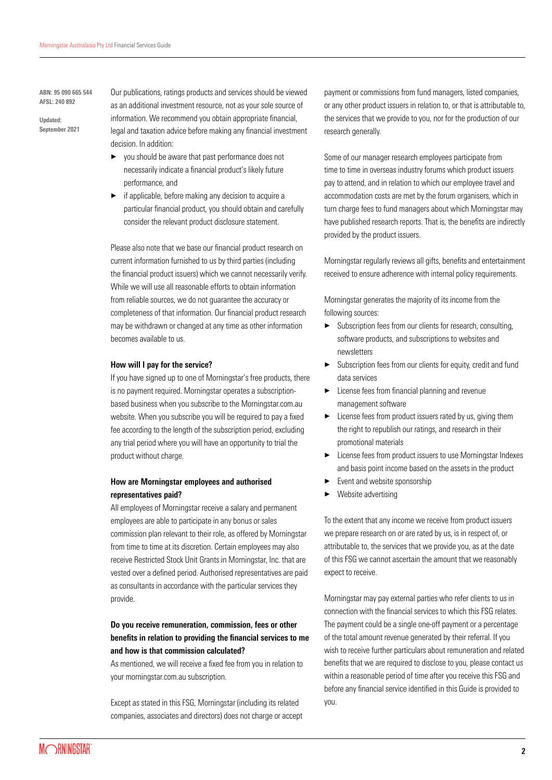ABN: 95 090 665 544 AFSL: 240 892

Updated: September 2021 Our publications, ratings products and services should be viewed as an additional investment resource, not as your sole source of information. We recommend you obtain appropriate financial, legal and taxation advice before making any financial investment decision. In addition:

- $\blacktriangleright$  you should be aware that past performance does not necessarily indicate a financial product's likely future performance, and
- $\blacktriangleright$  if applicable, before making any decision to acquire a particular financial product, you should obtain and carefully consider the relevant product disclosure statement.

Please also note that we base our financial product research on current information furnished to us by third parties (including the financial product issuers) which we cannot necessarily verify. While we will use all reasonable efforts to obtain information from reliable sources, we do not guarantee the accuracy or completeness of that information. Our financial product research may be withdrawn or changed at any time as other information becomes available to us.

#### How will I pay for the service?

If you have signed up to one of Morningstar's free products, there is no payment required. Morningstar operates a subscriptionbased business when you subscribe to the Morningstar.com.au website. When you subscribe you will be required to pay a fixed fee according to the length of the subscription period, excluding any trial period where you will have an opportunity to trial the product without charge.

## How are Morningstar employees and authorised representatives paid?

All employees of Morningstar receive a salary and permanent employees are able to participate in any bonus or sales commission plan relevant to their role, as offered by Morningstar from time to time at its discretion. Certain employees may also receive Restricted Stock Unit Grants in Morningstar, Inc. that are vested over a defined period. Authorised representatives are paid as consultants in accordance with the particular services they provide.

# Do you receive remuneration, commission, fees or other benefits in relation to providing the financial services to me and how is that commission calculated?

As mentioned, we will receive a fixed fee from you in relation to your morningstar.com.au subscription.

Except as stated in this FSG, Morningstar (including its related companies, associates and directors) does not charge or accept payment or commissions from fund managers, listed companies, or any other product issuers in relation to, or that is attributable to, the services that we provide to you, nor for the production of our research generally.

Some of our manager research employees participate from time to time in overseas industry forums which product issuers pay to attend, and in relation to which our employee travel and accommodation costs are met by the forum organisers, which in turn charge fees to fund managers about which Morningstar may have published research reports. That is, the benefits are indirectly provided by the product issuers.

Morningstar regularly reviews all gifts, benefits and entertainment received to ensure adherence with internal policy requirements.

Morningstar generates the majority of its income from the following sources:

- $\blacktriangleright$  Subscription fees from our clients for research, consulting, software products, and subscriptions to websites and newsletters
- Subscription fees from our clients for equity, credit and fund data services
- $\blacktriangleright$  License fees from financial planning and revenue management software
- $\blacktriangleright$  License fees from product issuers rated by us, giving them the right to republish our ratings, and research in their promotional materials
- License fees from product issuers to use Morningstar Indexes and basis point income based on the assets in the product
- Event and website sponsorship
- Website advertising

To the extent that any income we receive from product issuers we prepare research on or are rated by us, is in respect of, or attributable to, the services that we provide you, as at the date of this FSG we cannot ascertain the amount that we reasonably expect to receive.

Morningstar may pay external parties who refer clients to us in connection with the financial services to which this FSG relates. The payment could be a single one-off payment or a percentage of the total amount revenue generated by their referral. If you wish to receive further particulars about remuneration and related benefits that we are required to disclose to you, please contact us within a reasonable period of time after you receive this FSG and before any financial service identified in this Guide is provided to you.